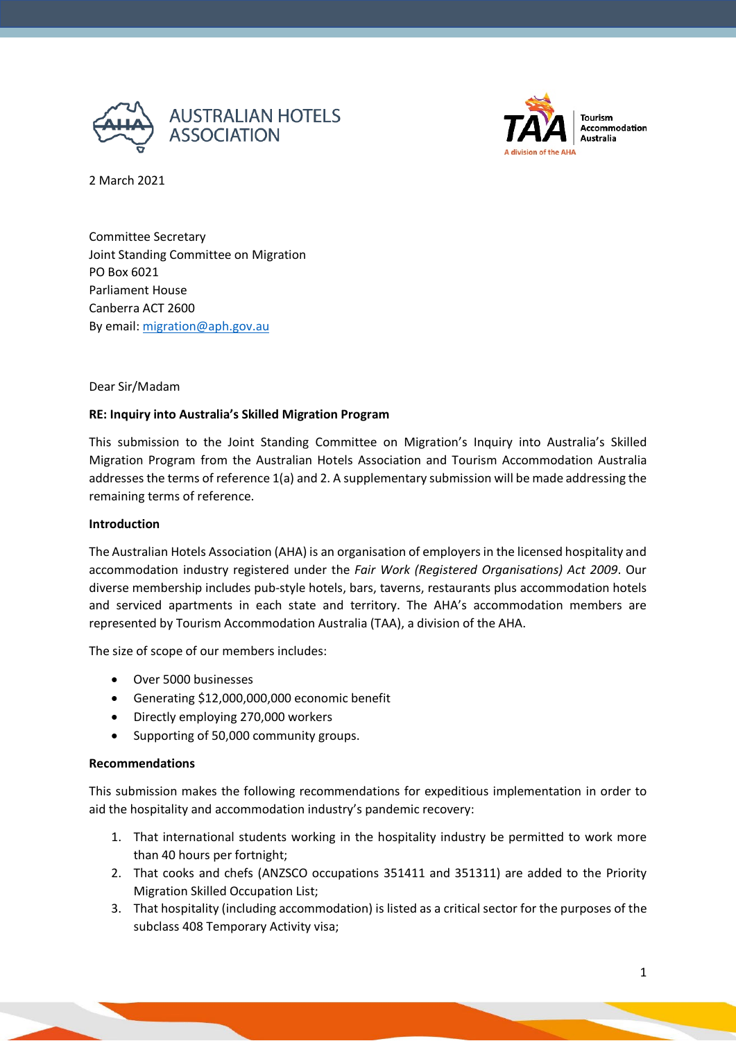



2 March 2021

Committee Secretary Joint Standing Committee on Migration PO Box 6021 Parliament House Canberra ACT 2600 By email: [migration@aph.gov.au](mailto:migration@aph.gov.au)

### Dear Sir/Madam

# **RE: Inquiry into Australia's Skilled Migration Program**

This submission to the Joint Standing Committee on Migration's Inquiry into Australia's Skilled Migration Program from the Australian Hotels Association and Tourism Accommodation Australia addresses the terms of reference 1(a) and 2. A supplementary submission will be made addressing the remaining terms of reference.

#### **Introduction**

The Australian Hotels Association (AHA) is an organisation of employers in the licensed hospitality and accommodation industry registered under the *Fair Work (Registered Organisations) Act 2009*. Our diverse membership includes pub-style hotels, bars, taverns, restaurants plus accommodation hotels and serviced apartments in each state and territory. The AHA's accommodation members are represented by Tourism Accommodation Australia (TAA), a division of the AHA.

The size of scope of our members includes:

- Over 5000 businesses
- Generating \$12,000,000,000 economic benefit
- Directly employing 270,000 workers
- Supporting of 50,000 community groups.

#### **Recommendations**

This submission makes the following recommendations for expeditious implementation in order to aid the hospitality and accommodation industry's pandemic recovery:

- 1. That international students working in the hospitality industry be permitted to work more than 40 hours per fortnight;
- 2. That cooks and chefs (ANZSCO occupations 351411 and 351311) are added to the Priority Migration Skilled Occupation List;
- 3. That hospitality (including accommodation) is listed as a critical sector for the purposes of the subclass 408 Temporary Activity visa;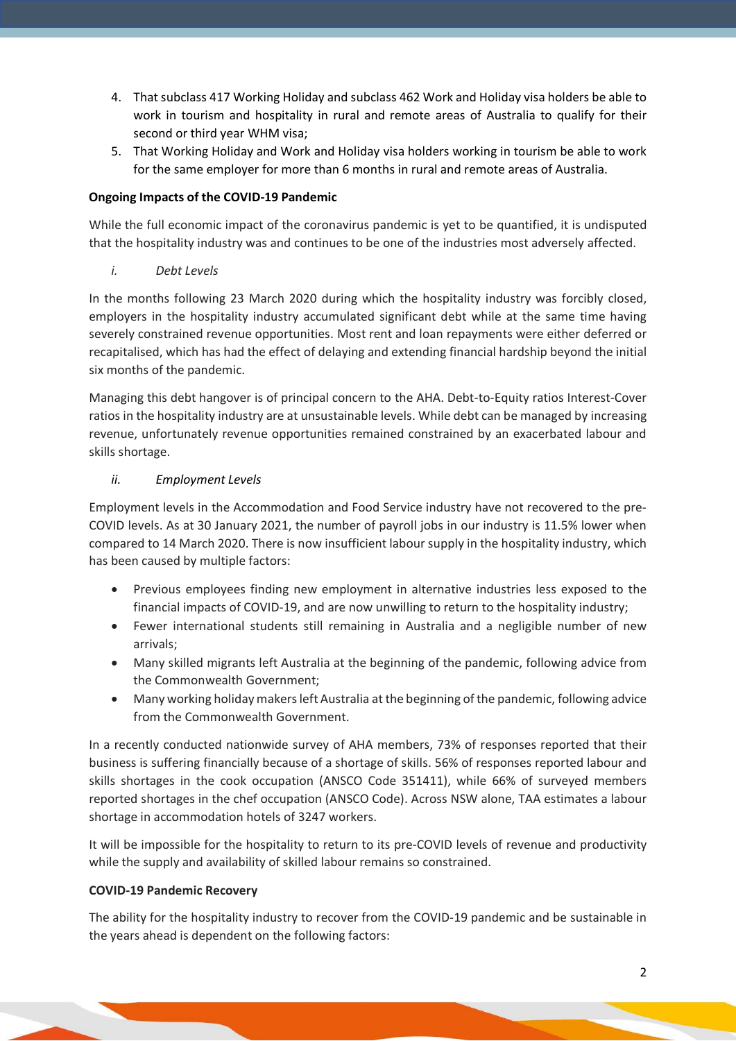- 4. That subclass 417 Working Holiday and subclass 462 Work and Holiday visa holders be able to work in tourism and hospitality in rural and remote areas of Australia to qualify for their second or third year WHM visa;
- 5. That Working Holiday and Work and Holiday visa holders working in tourism be able to work for the same employer for more than 6 months in rural and remote areas of Australia.

# **Ongoing Impacts of the COVID-19 Pandemic**

While the full economic impact of the coronavirus pandemic is yet to be quantified, it is undisputed that the hospitality industry was and continues to be one of the industries most adversely affected.

*i. Debt Levels*

In the months following 23 March 2020 during which the hospitality industry was forcibly closed, employers in the hospitality industry accumulated significant debt while at the same time having severely constrained revenue opportunities. Most rent and loan repayments were either deferred or recapitalised, which has had the effect of delaying and extending financial hardship beyond the initial six months of the pandemic.

Managing this debt hangover is of principal concern to the AHA. Debt-to-Equity ratios Interest-Cover ratios in the hospitality industry are at unsustainable levels. While debt can be managed by increasing revenue, unfortunately revenue opportunities remained constrained by an exacerbated labour and skills shortage.

# *ii. Employment Levels*

Employment levels in the Accommodation and Food Service industry have not recovered to the pre-COVID levels. As at 30 January 2021, the number of payroll jobs in our industry is 11.5% lower when compared to 14 March 2020. There is now insufficient labour supply in the hospitality industry, which has been caused by multiple factors:

- Previous employees finding new employment in alternative industries less exposed to the financial impacts of COVID-19, and are now unwilling to return to the hospitality industry;
- Fewer international students still remaining in Australia and a negligible number of new arrivals;
- Many skilled migrants left Australia at the beginning of the pandemic, following advice from the Commonwealth Government;
- Many working holiday makers left Australia at the beginning of the pandemic, following advice from the Commonwealth Government.

In a recently conducted nationwide survey of AHA members, 73% of responses reported that their business is suffering financially because of a shortage of skills. 56% of responses reported labour and skills shortages in the cook occupation (ANSCO Code 351411), while 66% of surveyed members reported shortages in the chef occupation (ANSCO Code). Across NSW alone, TAA estimates a labour shortage in accommodation hotels of 3247 workers.

It will be impossible for the hospitality to return to its pre-COVID levels of revenue and productivity while the supply and availability of skilled labour remains so constrained.

# **COVID-19 Pandemic Recovery**

The ability for the hospitality industry to recover from the COVID-19 pandemic and be sustainable in the years ahead is dependent on the following factors: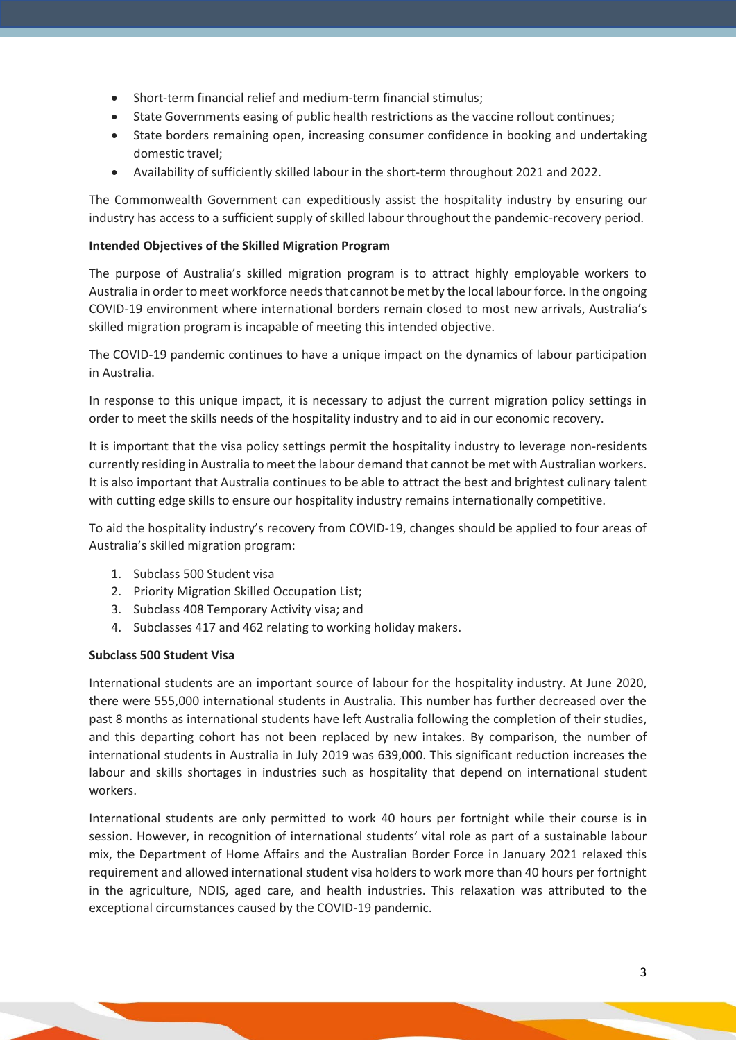- Short-term financial relief and medium-term financial stimulus;
- State Governments easing of public health restrictions as the vaccine rollout continues;
- State borders remaining open, increasing consumer confidence in booking and undertaking domestic travel;
- Availability of sufficiently skilled labour in the short-term throughout 2021 and 2022.

The Commonwealth Government can expeditiously assist the hospitality industry by ensuring our industry has access to a sufficient supply of skilled labour throughout the pandemic-recovery period.

## **Intended Objectives of the Skilled Migration Program**

The purpose of Australia's skilled migration program is to attract highly employable workers to Australia in order to meet workforce needs that cannot be met by the local labour force. In the ongoing COVID-19 environment where international borders remain closed to most new arrivals, Australia's skilled migration program is incapable of meeting this intended objective.

The COVID-19 pandemic continues to have a unique impact on the dynamics of labour participation in Australia.

In response to this unique impact, it is necessary to adjust the current migration policy settings in order to meet the skills needs of the hospitality industry and to aid in our economic recovery.

It is important that the visa policy settings permit the hospitality industry to leverage non-residents currently residing in Australia to meet the labour demand that cannot be met with Australian workers. It is also important that Australia continues to be able to attract the best and brightest culinary talent with cutting edge skills to ensure our hospitality industry remains internationally competitive.

To aid the hospitality industry's recovery from COVID-19, changes should be applied to four areas of Australia's skilled migration program:

- 1. Subclass 500 Student visa
- 2. Priority Migration Skilled Occupation List;
- 3. Subclass 408 Temporary Activity visa; and
- 4. Subclasses 417 and 462 relating to working holiday makers.

# **Subclass 500 Student Visa**

International students are an important source of labour for the hospitality industry. At June 2020, there were 555,000 international students in Australia. This number has further decreased over the past 8 months as international students have left Australia following the completion of their studies, and this departing cohort has not been replaced by new intakes. By comparison, the number of international students in Australia in July 2019 was 639,000. This significant reduction increases the labour and skills shortages in industries such as hospitality that depend on international student workers.

International students are only permitted to work 40 hours per fortnight while their course is in session. However, in recognition of international students' vital role as part of a sustainable labour mix, the Department of Home Affairs and the Australian Border Force in January 2021 relaxed this requirement and allowed international student visa holders to work more than 40 hours per fortnight in the agriculture, NDIS, aged care, and health industries. This relaxation was attributed to the exceptional circumstances caused by the COVID-19 pandemic.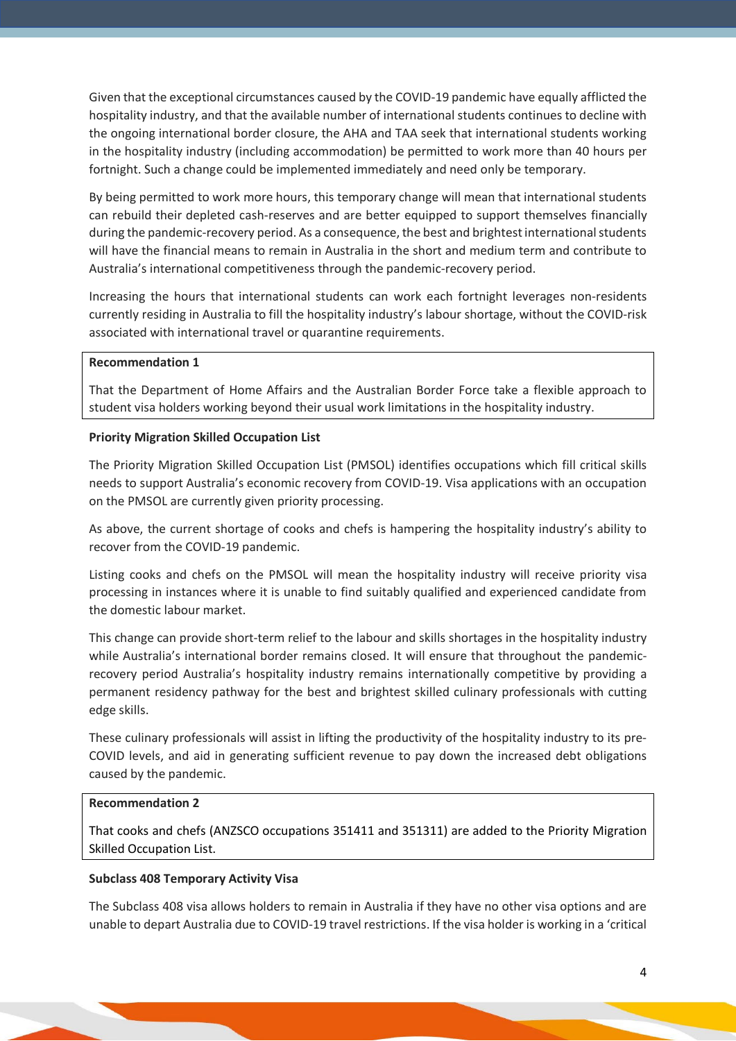Given that the exceptional circumstances caused by the COVID-19 pandemic have equally afflicted the hospitality industry, and that the available number of international students continues to decline with the ongoing international border closure, the AHA and TAA seek that international students working in the hospitality industry (including accommodation) be permitted to work more than 40 hours per fortnight. Such a change could be implemented immediately and need only be temporary.

By being permitted to work more hours, this temporary change will mean that international students can rebuild their depleted cash-reserves and are better equipped to support themselves financially during the pandemic-recovery period. As a consequence, the best and brightest international students will have the financial means to remain in Australia in the short and medium term and contribute to Australia's international competitiveness through the pandemic-recovery period.

Increasing the hours that international students can work each fortnight leverages non-residents currently residing in Australia to fill the hospitality industry's labour shortage, without the COVID-risk associated with international travel or quarantine requirements.

### **Recommendation 1**

That the Department of Home Affairs and the Australian Border Force take a flexible approach to student visa holders working beyond their usual work limitations in the hospitality industry.

### **Priority Migration Skilled Occupation List**

The Priority Migration Skilled Occupation List (PMSOL) identifies occupations which fill critical skills needs to support Australia's economic recovery from COVID-19. Visa applications with an occupation on the PMSOL are currently given priority processing.

As above, the current shortage of cooks and chefs is hampering the hospitality industry's ability to recover from the COVID-19 pandemic.

Listing cooks and chefs on the PMSOL will mean the hospitality industry will receive priority visa processing in instances where it is unable to find suitably qualified and experienced candidate from the domestic labour market.

This change can provide short-term relief to the labour and skills shortages in the hospitality industry while Australia's international border remains closed. It will ensure that throughout the pandemicrecovery period Australia's hospitality industry remains internationally competitive by providing a permanent residency pathway for the best and brightest skilled culinary professionals with cutting edge skills.

These culinary professionals will assist in lifting the productivity of the hospitality industry to its pre-COVID levels, and aid in generating sufficient revenue to pay down the increased debt obligations caused by the pandemic.

#### **Recommendation 2**

That cooks and chefs (ANZSCO occupations 351411 and 351311) are added to the Priority Migration Skilled Occupation List.

#### **Subclass 408 Temporary Activity Visa**

The Subclass 408 visa allows holders to remain in Australia if they have no other visa options and are unable to depart Australia due to COVID-19 travel restrictions. If the visa holder is working in a 'critical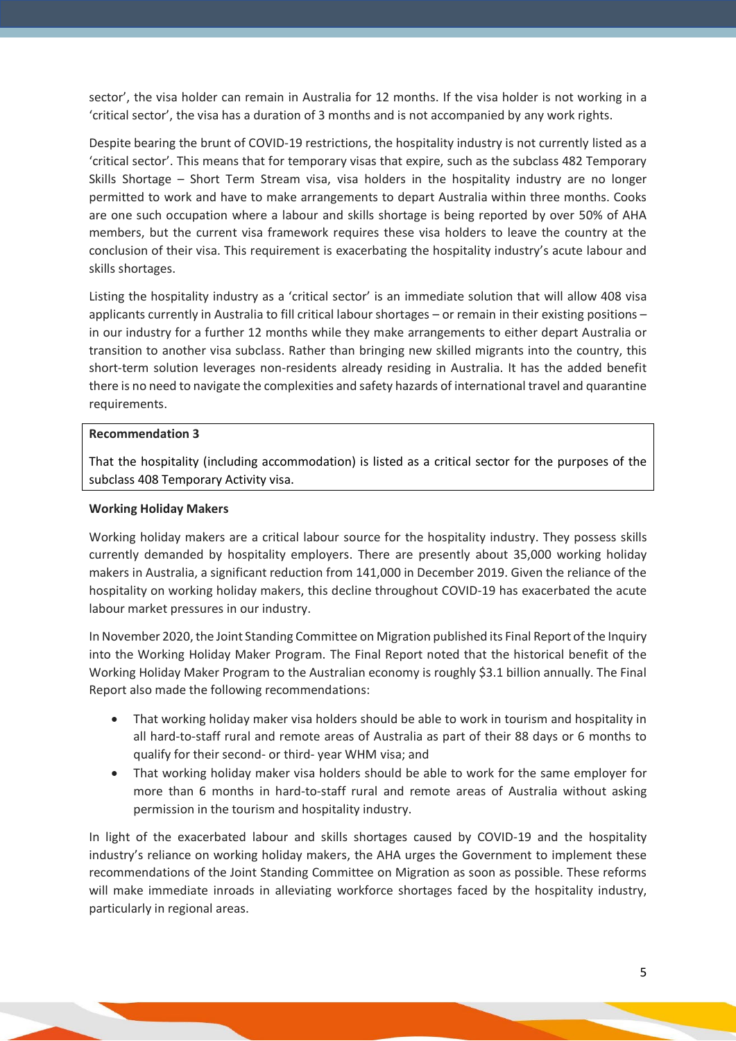sector', the visa holder can remain in Australia for 12 months. If the visa holder is not working in a 'critical sector', the visa has a duration of 3 months and is not accompanied by any work rights.

Despite bearing the brunt of COVID-19 restrictions, the hospitality industry is not currently listed as a 'critical sector'. This means that for temporary visas that expire, such as the subclass 482 Temporary Skills Shortage – Short Term Stream visa, visa holders in the hospitality industry are no longer permitted to work and have to make arrangements to depart Australia within three months. Cooks are one such occupation where a labour and skills shortage is being reported by over 50% of AHA members, but the current visa framework requires these visa holders to leave the country at the conclusion of their visa. This requirement is exacerbating the hospitality industry's acute labour and skills shortages.

Listing the hospitality industry as a 'critical sector' is an immediate solution that will allow 408 visa applicants currently in Australia to fill critical labour shortages – or remain in their existing positions – in our industry for a further 12 months while they make arrangements to either depart Australia or transition to another visa subclass. Rather than bringing new skilled migrants into the country, this short-term solution leverages non-residents already residing in Australia. It has the added benefit there is no need to navigate the complexities and safety hazards of international travel and quarantine requirements.

#### **Recommendation 3**

That the hospitality (including accommodation) is listed as a critical sector for the purposes of the subclass 408 Temporary Activity visa.

#### **Working Holiday Makers**

Working holiday makers are a critical labour source for the hospitality industry. They possess skills currently demanded by hospitality employers. There are presently about 35,000 working holiday makers in Australia, a significant reduction from 141,000 in December 2019. Given the reliance of the hospitality on working holiday makers, this decline throughout COVID-19 has exacerbated the acute labour market pressures in our industry.

In November 2020, the Joint Standing Committee on Migration published its Final Report of the Inquiry into the Working Holiday Maker Program. The Final Report noted that the historical benefit of the Working Holiday Maker Program to the Australian economy is roughly \$3.1 billion annually. The Final Report also made the following recommendations:

- That working holiday maker visa holders should be able to work in tourism and hospitality in all hard-to-staff rural and remote areas of Australia as part of their 88 days or 6 months to qualify for their second- or third- year WHM visa; and
- That working holiday maker visa holders should be able to work for the same employer for more than 6 months in hard-to-staff rural and remote areas of Australia without asking permission in the tourism and hospitality industry.

In light of the exacerbated labour and skills shortages caused by COVID-19 and the hospitality industry's reliance on working holiday makers, the AHA urges the Government to implement these recommendations of the Joint Standing Committee on Migration as soon as possible. These reforms will make immediate inroads in alleviating workforce shortages faced by the hospitality industry, particularly in regional areas.